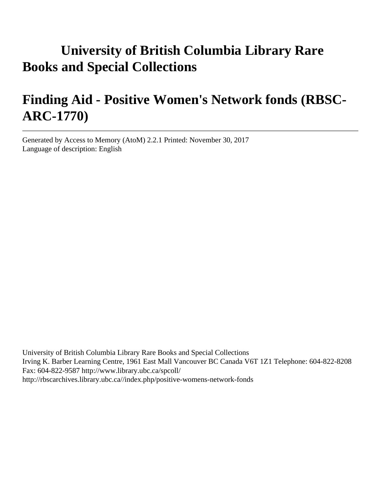# **University of British Columbia Library Rare Books and Special Collections**

# **Finding Aid - Positive Women's Network fonds (RBSC-ARC-1770)**

Generated by Access to Memory (AtoM) 2.2.1 Printed: November 30, 2017 Language of description: English

University of British Columbia Library Rare Books and Special Collections Irving K. Barber Learning Centre, 1961 East Mall Vancouver BC Canada V6T 1Z1 Telephone: 604-822-8208 Fax: 604-822-9587 http://www.library.ubc.ca/spcoll/ http://rbscarchives.library.ubc.ca//index.php/positive-womens-network-fonds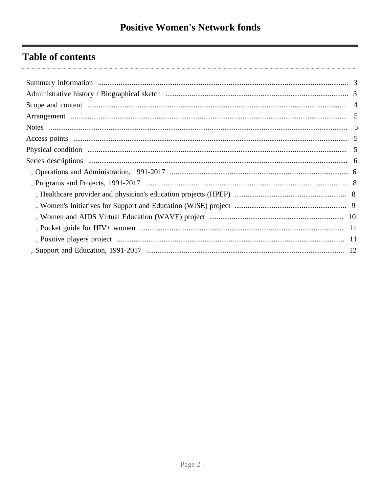## **Table of contents**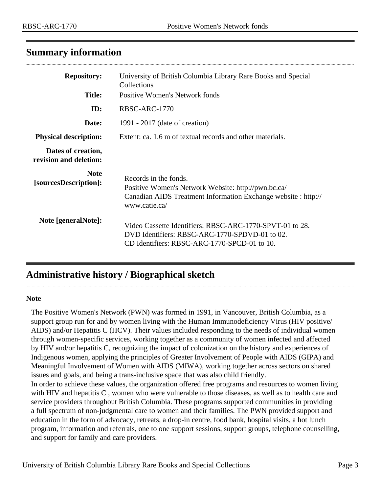## <span id="page-2-0"></span>**Summary information**

| <b>Repository:</b>                           | University of British Columbia Library Rare Books and Special<br>Collections                                                                                    |
|----------------------------------------------|-----------------------------------------------------------------------------------------------------------------------------------------------------------------|
| <b>Title:</b>                                | <b>Positive Women's Network fonds</b>                                                                                                                           |
| ID:                                          | RBSC-ARC-1770                                                                                                                                                   |
| Date:                                        | 1991 - 2017 (date of creation)                                                                                                                                  |
| <b>Physical description:</b>                 | Extent: ca. 1.6 m of textual records and other materials.                                                                                                       |
| Dates of creation,<br>revision and deletion: |                                                                                                                                                                 |
| <b>Note</b><br>[sourcesDescription]:         | Records in the fonds.<br>Positive Women's Network Website: http://pwn.bc.ca/<br>Canadian AIDS Treatment Information Exchange website : http://<br>www.catie.ca/ |
| Note [generalNote]:                          | Video Cassette Identifiers: RBSC-ARC-1770-SPVT-01 to 28.<br>DVD Identifiers: RBSC-ARC-1770-SPDVD-01 to 02.<br>CD Identifiers: RBSC-ARC-1770-SPCD-01 to 10.      |

## <span id="page-2-1"></span>**Administrative history / Biographical sketch**

#### **Note**

The Positive Women's Network (PWN) was formed in 1991, in Vancouver, British Columbia, as a support group run for and by women living with the Human Immunodeficiency Virus (HIV positive/ AIDS) and/or Hepatitis C (HCV). Their values included responding to the needs of individual women through women-specific services, working together as a community of women infected and affected by HIV and/or hepatitis C, recognizing the impact of colonization on the history and experiences of Indigenous women, applying the principles of Greater Involvement of People with AIDS (GIPA) and Meaningful Involvement of Women with AIDS (MIWA), working together across sectors on shared issues and goals, and being a trans-inclusive space that was also child friendly.

In order to achieve these values, the organization offered free programs and resources to women living with HIV and hepatitis C , women who were vulnerable to those diseases, as well as to health care and service providers throughout British Columbia. These programs supported communities in providing a full spectrum of non-judgmental care to women and their families. The PWN provided support and education in the form of advocacy, retreats, a drop-in centre, food bank, hospital visits, a hot lunch program, information and referrals, one to one support sessions, support groups, telephone counselling, and support for family and care providers.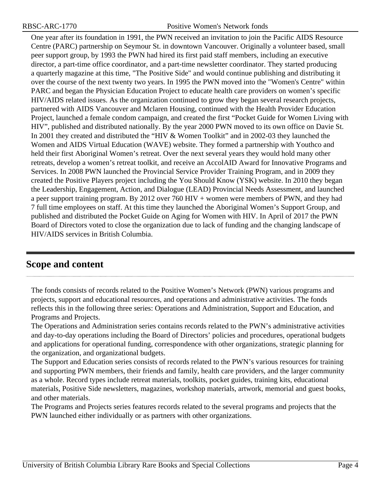One year after its foundation in 1991, the PWN received an invitation to join the Pacific AIDS Resource Centre (PARC) partnership on Seymour St. in downtown Vancouver. Originally a volunteer based, small peer support group, by 1993 the PWN had hired its first paid staff members, including an executive director, a part-time office coordinator, and a part-time newsletter coordinator. They started producing a quarterly magazine at this time, "The Positive Side" and would continue publishing and distributing it over the course of the next twenty two years. In 1995 the PWN moved into the "Women's Centre" within PARC and began the Physician Education Project to educate health care providers on women's specific HIV/AIDS related issues. As the organization continued to grow they began several research projects, partnered with AIDS Vancouver and Mclaren Housing, continued with the Health Provider Education Project, launched a female condom campaign, and created the first "Pocket Guide for Women Living with HIV", published and distributed nationally. By the year 2000 PWN moved to its own office on Davie St. In 2001 they created and distributed the "HIV & Women Toolkit" and in 2002-03 they launched the Women and AIDS Virtual Education (WAVE) website. They formed a partnership with Youthco and held their first Aboriginal Women's retreat. Over the next several years they would hold many other retreats, develop a women's retreat toolkit, and receive an AccolAID Award for Innovative Programs and Services. In 2008 PWN launched the Provincial Service Provider Training Program, and in 2009 they created the Positive Players project including the You Should Know (YSK) website. In 2010 they began the Leadership, Engagement, Action, and Dialogue (LEAD) Provincial Needs Assessment, and launched a peer support training program. By 2012 over 760 HIV + women were members of PWN, and they had 7 full time employees on staff. At this time they launched the Aboriginal Women's Support Group, and published and distributed the Pocket Guide on Aging for Women with HIV. In April of 2017 the PWN Board of Directors voted to close the organization due to lack of funding and the changing landscape of HIV/AIDS services in British Columbia.

## <span id="page-3-0"></span>**Scope and content**

The fonds consists of records related to the Positive Women's Network (PWN) various programs and projects, support and educational resources, and operations and administrative activities. The fonds reflects this in the following three series: Operations and Administration, Support and Education, and Programs and Projects.

The Operations and Administration series contains records related to the PWN's administrative activities and day-to-day operations including the Board of Directors' policies and procedures, operational budgets and applications for operational funding, correspondence with other organizations, strategic planning for the organization, and organizational budgets.

The Support and Education series consists of records related to the PWN's various resources for training and supporting PWN members, their friends and family, health care providers, and the larger community as a whole. Record types include retreat materials, toolkits, pocket guides, training kits, educational materials, Positive Side newsletters, magazines, workshop materials, artwork, memorial and guest books, and other materials.

The Programs and Projects series features records related to the several programs and projects that the PWN launched either individually or as partners with other organizations.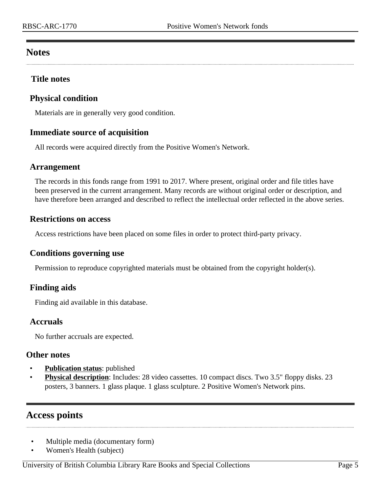## <span id="page-4-1"></span>**Notes**

## **Title notes**

## <span id="page-4-3"></span>**Physical condition**

Materials are in generally very good condition.

## **Immediate source of acquisition**

All records were acquired directly from the Positive Women's Network.

#### <span id="page-4-0"></span>**Arrangement**

The records in this fonds range from 1991 to 2017. Where present, original order and file titles have been preserved in the current arrangement. Many records are without original order or description, and have therefore been arranged and described to reflect the intellectual order reflected in the above series.

#### **Restrictions on access**

Access restrictions have been placed on some files in order to protect third-party privacy.

## **Conditions governing use**

Permission to reproduce copyrighted materials must be obtained from the copyright holder(s).

## **Finding aids**

Finding aid available in this database.

## **Accruals**

No further accruals are expected.

#### **Other notes**

- **Publication status**: published
- **Physical description**: Includes: 28 video cassettes. 10 compact discs. Two 3.5" floppy disks. 23 posters, 3 banners. 1 glass plaque. 1 glass sculpture. 2 Positive Women's Network pins.

## <span id="page-4-2"></span>**Access points**

- Multiple media (documentary form)
- Women's Health (subject)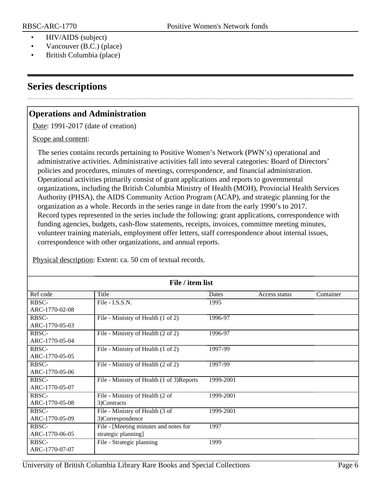- HIV/AIDS (subject)
- Vancouver (B.C.) (place)
- British Columbia (place)

## <span id="page-5-0"></span>**Series descriptions**

## <span id="page-5-1"></span>**Operations and Administration**

Date: 1991-2017 (date of creation)

Scope and content:

The series contains records pertaining to Positive Women's Network (PWN's) operational and administrative activities. Administrative activities fall into several categories: Board of Directors' policies and procedures, minutes of meetings, correspondence, and financial administration. Operational activities primarily consist of grant applications and reports to governmental organizations, including the British Columbia Ministry of Health (MOH), Provincial Health Services Authority (PHSA), the AIDS Community Action Program (ACAP), and strategic planning for the organization as a whole. Records in the series range in date from the early 1990's to 2017. Record types represented in the series include the following: grant applications, correspondence with funding agencies, budgets, cash-flow statements, receipts, invoices, committee meeting minutes, volunteer training materials, employment offer letters, staff correspondence about internal issues, correspondence with other organizations, and annual reports.

| File / item list |                                            |           |               |           |  |
|------------------|--------------------------------------------|-----------|---------------|-----------|--|
| Ref code         | Title                                      | Dates     | Access status | Container |  |
| RBSC-            | File - I.S.S.N.                            | 1995      |               |           |  |
| ARC-1770-02-08   |                                            |           |               |           |  |
| RBSC-            | File - Ministry of Health (1 of 2)         | 1996-97   |               |           |  |
| ARC-1770-05-03   |                                            |           |               |           |  |
| RBSC-            | File - Ministry of Health (2 of 2)         | 1996-97   |               |           |  |
| ARC-1770-05-04   |                                            |           |               |           |  |
| RBSC-            | File - Ministry of Health (1 of 2)         | 1997-99   |               |           |  |
| ARC-1770-05-05   |                                            |           |               |           |  |
| RBSC-            | File - Ministry of Health (2 of 2)         | 1997-99   |               |           |  |
| ARC-1770-05-06   |                                            |           |               |           |  |
| RBSC-            | File - Ministry of Health (1 of 3) Reports | 1999-2001 |               |           |  |
| ARC-1770-05-07   |                                            |           |               |           |  |
| RBSC-            | File - Ministry of Health (2 of            | 1999-2001 |               |           |  |
| ARC-1770-05-08   | 3)Contracts                                |           |               |           |  |
| RBSC-            | File - Ministry of Health (3 of            | 1999-2001 |               |           |  |
| ARC-1770-05-09   | 3)Correspondence                           |           |               |           |  |
| RBSC-            | File - [Meeting minutes and notes for      | 1997      |               |           |  |
| ARC-1770-06-05   | strategic planning]                        |           |               |           |  |
| RBSC-            | File - Strategic planning                  | 1999      |               |           |  |
| ARC-1770-07-07   |                                            |           |               |           |  |

Physical description: Extent: ca. 50 cm of textual records.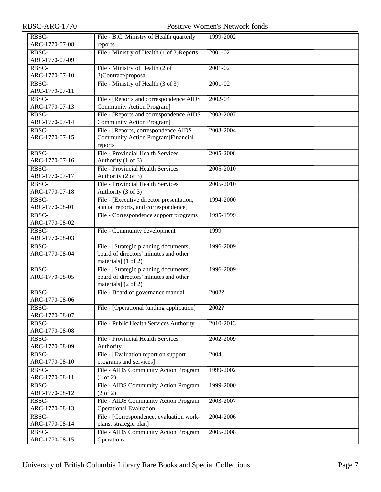| RBSC-          | File - B.C. Ministry of Health quarterly  | 1999-2002   |
|----------------|-------------------------------------------|-------------|
| ARC-1770-07-08 | reports                                   |             |
| RBSC-          | File - Ministry of Health (1 of 3)Reports | $2001 - 02$ |
| ARC-1770-07-09 |                                           |             |
| RBSC-          | File - Ministry of Health (2 of           | $2001 - 02$ |
| ARC-1770-07-10 | 3)Contract/proposal                       |             |
| RBSC-          | File - Ministry of Health (3 of 3)        | 2001-02     |
| ARC-1770-07-11 |                                           |             |
| RBSC-          | File - [Reports and correspondence AIDS   | 2002-04     |
| ARC-1770-07-13 | <b>Community Action Program]</b>          |             |
| RBSC-          | File - [Reports and correspondence AIDS]  | 2003-2007   |
| ARC-1770-07-14 | <b>Community Action Program]</b>          |             |
| RBSC-          | File - [Reports, correspondence AIDS      | 2003-2004   |
| ARC-1770-07-15 | Community Action Program]Financial        |             |
|                | reports                                   |             |
| RBSC-          | <b>File - Provincial Health Services</b>  | 2005-2008   |
| ARC-1770-07-16 | Authority (1 of 3)                        |             |
| RBSC-          | <b>File - Provincial Health Services</b>  | 2005-2010   |
| ARC-1770-07-17 | Authority (2 of 3)                        |             |
| RBSC-          | File - Provincial Health Services         | 2005-2010   |
| ARC-1770-07-18 | Authority (3 of 3)                        |             |
| RBSC-          | File - [Executive director presentation,  | 1994-2000   |
| ARC-1770-08-01 | annual reports, and correspondence]       |             |
| RBSC-          | File - Correspondence support programs    | 1995-1999   |
| ARC-1770-08-02 |                                           |             |
| RBSC-          | File - Community development              | 1999        |
| ARC-1770-08-03 |                                           |             |
| RBSC-          | File - [Strategic planning documents,     | 1996-2009   |
| ARC-1770-08-04 | board of directors' minutes and other     |             |
|                | materials] (1 of 2)                       |             |
| RBSC-          | File - [Strategic planning documents,     | 1996-2009   |
| ARC-1770-08-05 | board of directors' minutes and other     |             |
|                | materials] (2 of 2)                       |             |
| RBSC-          | File - Board of governance manual         | 2002?       |
| ARC-1770-08-06 |                                           |             |
| RBSC-          | File - [Operational funding application]  | 2002?       |
| ARC-1770-08-07 |                                           |             |
| RBSC-          | File - Public Health Services Authority   | 2010-2013   |
| ARC-1770-08-08 |                                           |             |
| RBSC-          | File - Provincial Health Services         | 2002-2009   |
| ARC-1770-08-09 | Authority                                 |             |
| RBSC-          | File - [Evaluation report on support]     | 2004        |
| ARC-1770-08-10 | programs and services]                    |             |
| RBSC-          | File - AIDS Community Action Program      | 1999-2002   |
| ARC-1770-08-11 | $(1 \text{ of } 2)$                       |             |
| RBSC-          | File - AIDS Community Action Program      | 1999-2000   |
| ARC-1770-08-12 | $(2 \text{ of } 2)$                       |             |
| RBSC-          | File - AIDS Community Action Program      | 2003-2007   |
| ARC-1770-08-13 | <b>Operational Evaluation</b>             |             |
| RBSC-          | File - [Correspondence, evaluation work-  | 2004-2006   |
| ARC-1770-08-14 | plans, strategic plan]                    |             |
| RBSC-          | File - AIDS Community Action Program      | 2005-2008   |
| ARC-1770-08-15 | Operations                                |             |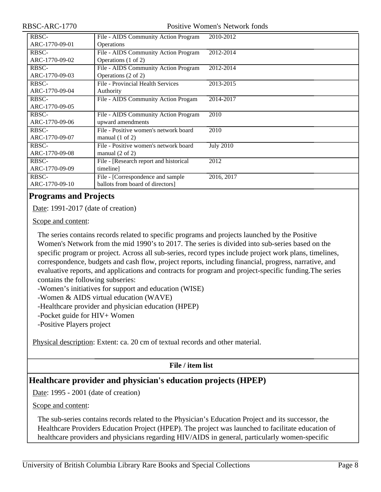| <b>RBSC-</b>   | File - AIDS Community Action Program   | 2010-2012        |
|----------------|----------------------------------------|------------------|
| ARC-1770-09-01 | <b>Operations</b>                      |                  |
| RBSC-          | File - AIDS Community Action Program   | 2012-2014        |
| ARC-1770-09-02 | Operations (1 of 2)                    |                  |
| RBSC-          | File - AIDS Community Action Program   | 2012-2014        |
| ARC-1770-09-03 | Operations (2 of 2)                    |                  |
| RBSC-          | File - Provincial Health Services      | 2013-2015        |
| ARC-1770-09-04 | Authority                              |                  |
| RBSC-          | File - AIDS Community Action Progam    | 2014-2017        |
| ARC-1770-09-05 |                                        |                  |
| <b>RBSC-</b>   | File - AIDS Community Action Program   | 2010             |
| ARC-1770-09-06 | upward amendments                      |                  |
| RBSC-          | File - Positive women's network board  | 2010             |
| ARC-1770-09-07 | manual $(1 \text{ of } 2)$             |                  |
| RBSC-          | File - Positive women's network board  | <b>July 2010</b> |
| ARC-1770-09-08 | manual $(2 \text{ of } 2)$             |                  |
| RBSC-          | File - [Research report and historical | 2012             |
| ARC-1770-09-09 | timeline]                              |                  |
| RBSC-          | File - [Correspondence and sample      | 2016, 2017       |
| ARC-1770-09-10 | ballots from board of directors]       |                  |

## <span id="page-7-0"></span>**Programs and Projects**

Date: 1991-2017 (date of creation)

Scope and content:

The series contains records related to specific programs and projects launched by the Positive Women's Network from the mid 1990's to 2017. The series is divided into sub-series based on the specific program or project. Across all sub-series, record types include project work plans, timelines, correspondence, budgets and cash flow, project reports, including financial, progress, narrative, and evaluative reports, and applications and contracts for program and project-specific funding.The series contains the following subseries:

-Women's initiatives for support and education (WISE)

-Women & AIDS virtual education (WAVE)

-Healthcare provider and physician education (HPEP)

-Pocket guide for HIV+ Women

-Positive Players project

Physical description: Extent: ca. 20 cm of textual records and other material.

## **File / item list**

## <span id="page-7-1"></span>**Healthcare provider and physician's education projects (HPEP)**

Date: 1995 - 2001 (date of creation)

Scope and content:

The sub-series contains records related to the Physician's Education Project and its successor, the Healthcare Providers Education Project (HPEP). The project was launched to facilitate education of healthcare providers and physicians regarding HIV/AIDS in general, particularly women-specific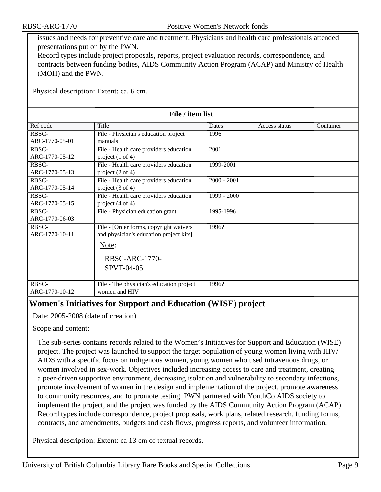issues and needs for preventive care and treatment. Physicians and health care professionals attended presentations put on by the PWN.

Record types include project proposals, reports, project evaluation records, correspondence, and contracts between funding bodies, AIDS Community Action Program (ACAP) and Ministry of Health (MOH) and the PWN.

Physical description: Extent: ca. 6 cm.

| File / item list |                                          |               |               |           |
|------------------|------------------------------------------|---------------|---------------|-----------|
| Ref code         | Title                                    | Dates         | Access status | Container |
| RBSC-            | File - Physician's education project     | 1996          |               |           |
| ARC-1770-05-01   | manuals                                  |               |               |           |
| RBSC-            | File - Health care providers education   | 2001          |               |           |
| ARC-1770-05-12   | project $(1 \text{ of } 4)$              |               |               |           |
| RBSC-            | File - Health care providers education   | 1999-2001     |               |           |
| ARC-1770-05-13   | project $(2 \text{ of } 4)$              |               |               |           |
| RBSC-            | File - Health care providers education   | $2000 - 2001$ |               |           |
| ARC-1770-05-14   | project $(3 \text{ of } 4)$              |               |               |           |
| RBSC-            | File - Health care providers education   | $1999 - 2000$ |               |           |
| ARC-1770-05-15   | project $(4 \text{ of } 4)$              |               |               |           |
| RBSC-            | File - Physician education grant         | 1995-1996     |               |           |
| ARC-1770-06-03   |                                          |               |               |           |
| RBSC-            | File - [Order forms, copyright waivers   | 1996?         |               |           |
| ARC-1770-10-11   | and physician's education project kits]  |               |               |           |
|                  | Note:                                    |               |               |           |
|                  | <b>RBSC-ARC-1770-</b>                    |               |               |           |
|                  | SPVT-04-05                               |               |               |           |
|                  |                                          |               |               |           |
| RBSC-            | File - The physician's education project | 1996?         |               |           |
| ARC-1770-10-12   | women and HIV                            |               |               |           |

## <span id="page-8-0"></span>**Women's Initiatives for Support and Education (WISE) project**

Date: 2005-2008 (date of creation)

#### Scope and content:

The sub-series contains records related to the Women's Initiatives for Support and Education (WISE) project. The project was launched to support the target population of young women living with HIV/ AIDS with a specific focus on indigenous women, young women who used intravenous drugs, or women involved in sex-work. Objectives included increasing access to care and treatment, creating a peer-driven supportive environment, decreasing isolation and vulnerability to secondary infections, promote involvement of women in the design and implementation of the project, promote awareness to community resources, and to promote testing. PWN partnered with YouthCo AIDS society to implement the project, and the project was funded by the AIDS Community Action Program (ACAP). Record types include correspondence, project proposals, work plans, related research, funding forms, contracts, and amendments, budgets and cash flows, progress reports, and volunteer information.

Physical description: Extent: ca 13 cm of textual records.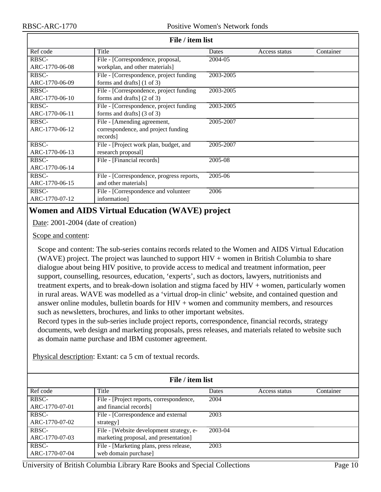| File / item list |                                           |           |               |           |
|------------------|-------------------------------------------|-----------|---------------|-----------|
| Ref code         | Title                                     | Dates     | Access status | Container |
| RBSC-            | File - [Correspondence, proposal,         | 2004-05   |               |           |
| ARC-1770-06-08   | workplan, and other materials]            |           |               |           |
| RBSC-            | File - [Correspondence, project funding   | 2003-2005 |               |           |
| ARC-1770-06-09   | forms and drafts] $(1 \text{ of } 3)$     |           |               |           |
| RBSC-            | File - [Correspondence, project funding   | 2003-2005 |               |           |
| ARC-1770-06-10   | forms and drafts $(2 \text{ of } 3)$      |           |               |           |
| RBSC-            | File - [Correspondence, project funding   | 2003-2005 |               |           |
| ARC-1770-06-11   | forms and drafts] $(3 \text{ of } 3)$     |           |               |           |
| RBSC-            | File - [Amending agreement,               | 2005-2007 |               |           |
| ARC-1770-06-12   | correspondence, and project funding       |           |               |           |
|                  | records]                                  |           |               |           |
| RBSC-            | File - [Project work plan, budget, and    | 2005-2007 |               |           |
| ARC-1770-06-13   | research proposal]                        |           |               |           |
| RBSC-            | File - [Financial records]                | 2005-08   |               |           |
| ARC-1770-06-14   |                                           |           |               |           |
| RBSC-            | File - [Correspondence, progress reports, | 2005-06   |               |           |
| ARC-1770-06-15   | and other materials]                      |           |               |           |
| <b>RBSC-</b>     | File - [Correspondence and volunteer      | 2006      |               |           |
| ARC-1770-07-12   | information]                              |           |               |           |

#### **File / item list**

## <span id="page-9-0"></span>**Women and AIDS Virtual Education (WAVE) project**

Date: 2001-2004 (date of creation)

Scope and content:

Scope and content: The sub-series contains records related to the Women and AIDS Virtual Education (WAVE) project. The project was launched to support  $HIV +$  women in British Columbia to share dialogue about being HIV positive, to provide access to medical and treatment information, peer support, counselling, resources, education, 'experts', such as doctors, lawyers, nutritionists and treatment experts, and to break-down isolation and stigma faced by HIV + women, particularly women in rural areas. WAVE was modelled as a 'virtual drop-in clinic' website, and contained question and answer online modules, bulletin boards for HIV + women and community members, and resources such as newsletters, brochures, and links to other important websites.

Record types in the sub-series include project reports, correspondence, financial records, strategy documents, web design and marketing proposals, press releases, and materials related to website such as domain name purchase and IBM customer agreement.

Physical description: Extant: ca 5 cm of textual records.

| File / item list |                                          |         |               |           |
|------------------|------------------------------------------|---------|---------------|-----------|
| Ref code         | Title                                    | Dates   | Access status | Container |
| RBSC-            | File - [Project reports, correspondence, | 2004    |               |           |
| ARC-1770-07-01   | and financial records]                   |         |               |           |
| RBSC-            | File - [Correspondence and external      | 2003    |               |           |
| ARC-1770-07-02   | strategy]                                |         |               |           |
| RBSC-            | File - [Website development strategy, e- | 2003-04 |               |           |
| ARC-1770-07-03   | marketing proposal, and presentation]    |         |               |           |
| RBSC-            | File - [Marketing plans, press release,  | 2003    |               |           |
| ARC-1770-07-04   | web domain purchase]                     |         |               |           |

University of British Columbia Library Rare Books and Special Collections Page 10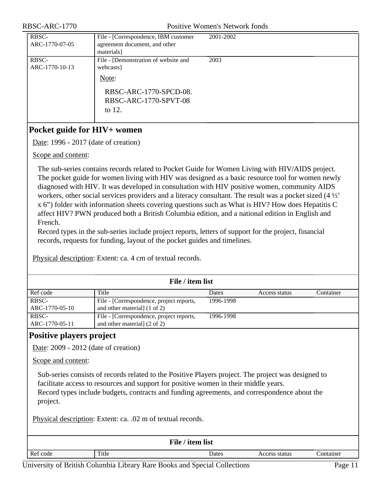| RBSC-<br>ARC-1770-07-05 | File - [Correspondence, IBM customer<br>agreement document, and other<br>materials]                                        | 2001-2002 |
|-------------------------|----------------------------------------------------------------------------------------------------------------------------|-----------|
| RBSC-<br>ARC-1770-10-13 | File - [Demonstration of website and<br>webcasts]<br>Note:<br>RBSC-ARC-1770-SPCD-08.<br>RBSC-ARC-1770-SPVT-08<br>to $12$ . | 2003      |

## <span id="page-10-0"></span>**Pocket guide for HIV+ women**

Date: 1996 - 2017 (date of creation)

Scope and content:

The sub-series contains records related to Pocket Guide for Women Living with HIV/AIDS project. The pocket guide for women living with HIV was designed as a basic resource tool for women newly diagnosed with HIV. It was developed in consultation with HIV positive women, community AIDS workers, other social services providers and a literacy consultant. The result was a pocket sized (4 ½' x 6") folder with information sheets covering questions such as What is HIV? How does Hepatitis C affect HIV? PWN produced both a British Columbia edition, and a national edition in English and French.

Record types in the sub-series include project reports, letters of support for the project, financial records, requests for funding, layout of the pocket guides and timelines.

| File / item list        |                                                                          |           |               |           |
|-------------------------|--------------------------------------------------------------------------|-----------|---------------|-----------|
| Ref code                | Title                                                                    | Dates     | Access status | Container |
| RBSC-<br>ARC-1770-05-10 | File - [Correspondence, project reports,<br>and other material] (1 of 2) | 1996-1998 |               |           |
| RBSC-                   | File - [Correspondence, project reports,                                 | 1996-1998 |               |           |
| ARC-1770-05-11          | and other material] (2 of 2)                                             |           |               |           |

Physical description: Extent: ca. 4 cm of textual records.

## <span id="page-10-1"></span>**Positive players project**

Date: 2009 - 2012 (date of creation)

Scope and content:

Sub-series consists of records related to the Positive Players project. The project was designed to facilitate access to resources and support for positive women in their middle years. Record types include budgets, contracts and funding agreements, and correspondence about the project.

Physical description: Extent: ca. .02 m of textual records.

| File / item list                                         |  |  |  |  |
|----------------------------------------------------------|--|--|--|--|
| Ref code<br>Title<br>Dates<br>Container<br>Access status |  |  |  |  |

University of British Columbia Library Rare Books and Special Collections Page 11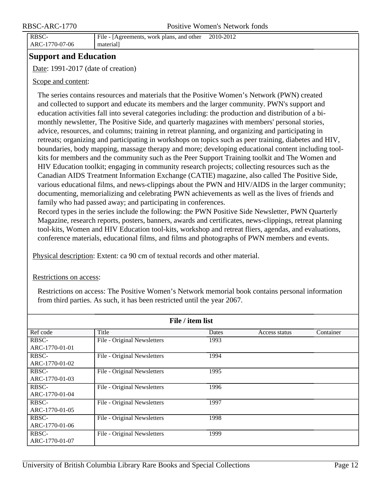RBSC-ARC-1770-07-06

#### File - [Agreements, work plans, and other material] 2010-2012

<span id="page-11-0"></span>**Support and Education**

Date: 1991-2017 (date of creation)

#### Scope and content:

The series contains resources and materials that the Positive Women's Network (PWN) created and collected to support and educate its members and the larger community. PWN's support and education activities fall into several categories including: the production and distribution of a bimonthly newsletter, The Positive Side, and quarterly magazines with members' personal stories, advice, resources, and columns; training in retreat planning, and organizing and participating in retreats; organizing and participating in workshops on topics such as peer training, diabetes and HIV, boundaries, body mapping, massage therapy and more; developing educational content including toolkits for members and the community such as the Peer Support Training toolkit and The Women and HIV Education toolkit; engaging in community research projects; collecting resources such as the Canadian AIDS Treatment Information Exchange (CATIE) magazine, also called The Positive Side, various educational films, and news-clippings about the PWN and HIV/AIDS in the larger community; documenting, memorializing and celebrating PWN achievements as well as the lives of friends and family who had passed away; and participating in conferences.

Record types in the series include the following: the PWN Positive Side Newsletter, PWN Quarterly Magazine, research reports, posters, banners, awards and certificates, news-clippings, retreat planning tool-kits, Women and HIV Education tool-kits, workshop and retreat fliers, agendas, and evaluations, conference materials, educational films, and films and photographs of PWN members and events.

Physical description: Extent: ca 90 cm of textual records and other material.

#### Restrictions on access:

Restrictions on access: The Positive Women's Network memorial book contains personal information from third parties. As such, it has been restricted until the year 2067.

| File / item list |                             |       |               |           |
|------------------|-----------------------------|-------|---------------|-----------|
| Ref code         | Title                       | Dates | Access status | Container |
| RBSC-            | File - Original Newsletters | 1993  |               |           |
| ARC-1770-01-01   |                             |       |               |           |
| RBSC-            | File - Original Newsletters | 1994  |               |           |
| ARC-1770-01-02   |                             |       |               |           |
| RBSC-            | File - Original Newsletters | 1995  |               |           |
| ARC-1770-01-03   |                             |       |               |           |
| RBSC-            | File - Original Newsletters | 1996  |               |           |
| ARC-1770-01-04   |                             |       |               |           |
| RBSC-            | File - Original Newsletters | 1997  |               |           |
| ARC-1770-01-05   |                             |       |               |           |
| RBSC-            | File - Original Newsletters | 1998  |               |           |
| ARC-1770-01-06   |                             |       |               |           |
| RBSC-            | File - Original Newsletters | 1999  |               |           |
| ARC-1770-01-07   |                             |       |               |           |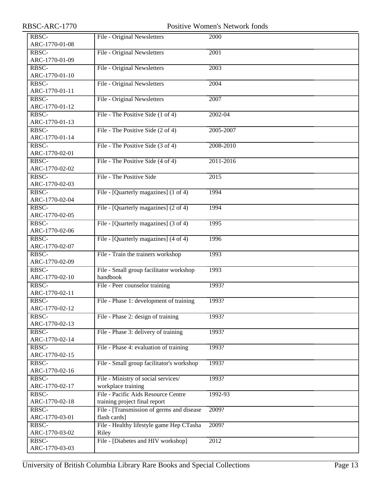| RBSC-          | File - Original Newsletters               | 2000        |
|----------------|-------------------------------------------|-------------|
| ARC-1770-01-08 |                                           |             |
| RBSC-          | File - Original Newsletters               | 2001        |
| ARC-1770-01-09 |                                           |             |
| RBSC-          | File - Original Newsletters               | 2003        |
| ARC-1770-01-10 |                                           |             |
| RBSC-          | File - Original Newsletters               | 2004        |
| ARC-1770-01-11 |                                           |             |
| RBSC-          | File - Original Newsletters               | 2007        |
| ARC-1770-01-12 |                                           |             |
| RBSC-          | File - The Positive Side (1 of 4)         | $2002 - 04$ |
| ARC-1770-01-13 |                                           |             |
| RBSC-          | File - The Positive Side (2 of 4)         | 2005-2007   |
| ARC-1770-01-14 |                                           |             |
| RBSC-          | File - The Positive Side (3 of 4)         | 2008-2010   |
| ARC-1770-02-01 |                                           |             |
| RBSC-          | File - The Positive Side (4 of 4)         | 2011-2016   |
| ARC-1770-02-02 |                                           |             |
| RBSC-          | File - The Positive Side                  | 2015        |
| ARC-1770-02-03 |                                           |             |
|                |                                           |             |
| RBSC-          | File - [Quarterly magazines] (1 of 4)     | 1994        |
| ARC-1770-02-04 |                                           |             |
| RBSC-          | File - [Quarterly magazines] (2 of 4)     | 1994        |
| ARC-1770-02-05 |                                           |             |
| RBSC-          | File - [Quarterly magazines] (3 of 4)     | 1995        |
| ARC-1770-02-06 |                                           |             |
| RBSC-          | File - [Quarterly magazines] (4 of 4)     | 1996        |
| ARC-1770-02-07 |                                           |             |
| RBSC-          | File - Train the trainers workshop        | 1993        |
| ARC-1770-02-09 |                                           |             |
| RBSC-          | File - Small group facilitator workshop   | 1993        |
| ARC-1770-02-10 | handbook                                  |             |
| RBSC-          | File - Peer counselor training            | 1993?       |
| ARC-1770-02-11 |                                           |             |
| RBSC-          | File - Phase 1: development of training   | 1993?       |
| ARC-1770-02-12 |                                           |             |
| RBSC-          | File - Phase 2: design of training        | 1993?       |
| ARC-1770-02-13 |                                           |             |
| RBSC-          | File - Phase 3: delivery of training      | 1993?       |
| ARC-1770-02-14 |                                           |             |
| RBSC-          | File - Phase 4: evaluation of training    | 1993?       |
| ARC-1770-02-15 |                                           |             |
|                |                                           |             |
| RBSC-          | File - Small group facilitator's workshop | 1993?       |
| ARC-1770-02-16 |                                           |             |
| RBSC-          | File - Ministry of social services/       | 1993?       |
| ARC-1770-02-17 | workplace training                        |             |
| RBSC-          | File - Pacific Aids Resource Centre       | 1992-93     |
| ARC-1770-02-18 | training project final report             |             |
| RBSC-          | File - [Transmission of germs and disease | 2009?       |
| ARC-1770-03-01 | flash cards]                              |             |
| RBSC-          | File - Healthy lifestyle game Hep CTasha  | 2009?       |
| ARC-1770-03-02 | Riley                                     |             |
| RBSC-          | File - [Diabetes and HIV workshop]        | 2012        |
| ARC-1770-03-03 |                                           |             |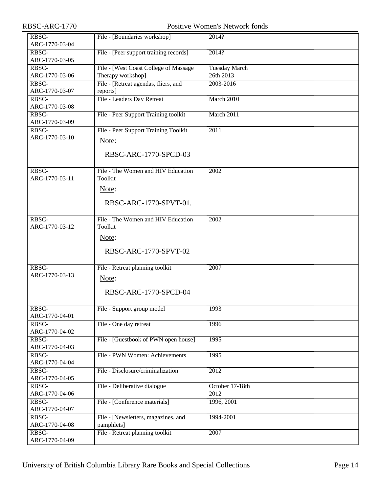| RBSC-ARC-1770           | <b>Positive Women's Network fonds</b>  |                      |  |
|-------------------------|----------------------------------------|----------------------|--|
| RBSC-                   | File - [Boundaries workshop]           | 2014?                |  |
| ARC-1770-03-04          |                                        |                      |  |
| RBSC-<br>ARC-1770-03-05 | File - [Peer support training records] | 2014?                |  |
| RBSC-                   | File - [West Coast College of Massage  | <b>Tuesday March</b> |  |
| ARC-1770-03-06          | Therapy workshop]                      | 26th 2013            |  |
| RBSC-                   | File - [Retreat agendas, fliers, and   | 2003-2016            |  |
| ARC-1770-03-07          | reports]                               |                      |  |
| RBSC-                   | File - Leaders Day Retreat             | March 2010           |  |
| ARC-1770-03-08          |                                        |                      |  |
| RBSC-                   | File - Peer Support Training toolkit   | March 2011           |  |
| ARC-1770-03-09          |                                        |                      |  |
| RBSC-                   | File - Peer Support Training Toolkit   | 2011                 |  |
| ARC-1770-03-10          | Note:                                  |                      |  |
|                         |                                        |                      |  |
|                         | RBSC-ARC-1770-SPCD-03                  |                      |  |
|                         |                                        |                      |  |
| RBSC-                   | File - The Women and HIV Education     | 2002                 |  |
| ARC-1770-03-11          | Toolkit                                |                      |  |
|                         | Note:                                  |                      |  |
|                         |                                        |                      |  |
|                         | RBSC-ARC-1770-SPVT-01.                 |                      |  |
| RBSC-                   | File - The Women and HIV Education     | $\overline{2002}$    |  |
| ARC-1770-03-12          | Toolkit                                |                      |  |
|                         |                                        |                      |  |
|                         | Note:                                  |                      |  |
|                         | RBSC-ARC-1770-SPVT-02                  |                      |  |
|                         |                                        |                      |  |
| RBSC-                   | File - Retreat planning toolkit        | 2007                 |  |
| ARC-1770-03-13          | Note:                                  |                      |  |
|                         |                                        |                      |  |
|                         | RBSC-ARC-1770-SPCD-04                  |                      |  |
|                         |                                        |                      |  |
| RBSC-                   | File - Support group model             | 1993                 |  |
| ARC-1770-04-01          |                                        |                      |  |
| RBSC-                   | File - One day retreat                 | 1996                 |  |
| ARC-1770-04-02          |                                        |                      |  |
| RBSC-                   | File - [Guestbook of PWN open house]   | 1995                 |  |
| ARC-1770-04-03<br>RBSC- | File - PWN Women: Achievements         | 1995                 |  |
| ARC-1770-04-04          |                                        |                      |  |
| RBSC-                   | File - Disclosure/criminalization      | 2012                 |  |
| ARC-1770-04-05          |                                        |                      |  |
| RBSC-                   | File - Deliberative dialogue           | October 17-18th      |  |
| ARC-1770-04-06          |                                        | 2012                 |  |
| RBSC-                   | File - [Conference materials]          | 1996, 2001           |  |
| ARC-1770-04-07          |                                        |                      |  |
| RBSC-                   | File - [Newsletters, magazines, and    | 1994-2001            |  |
| ARC-1770-04-08          | pamphlets]                             |                      |  |
| RBSC-                   | File - Retreat planning toolkit        | 2007                 |  |
| ARC-1770-04-09          |                                        |                      |  |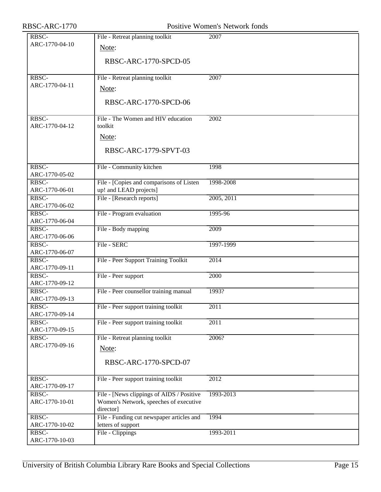| RBSC-ARC-1770           |                                                                                                  | Positive Women's Network fonds |
|-------------------------|--------------------------------------------------------------------------------------------------|--------------------------------|
| RBSC-<br>ARC-1770-04-10 | File - Retreat planning toolkit<br>Note:<br>RBSC-ARC-1770-SPCD-05                                | 2007                           |
| RBSC-<br>ARC-1770-04-11 | File - Retreat planning toolkit<br>Note:<br>RBSC-ARC-1770-SPCD-06                                | 2007                           |
| RBSC-<br>ARC-1770-04-12 | File - The Women and HIV education<br>toolkit<br>Note:<br>RBSC-ARC-1779-SPVT-03                  | 2002                           |
| RBSC-<br>ARC-1770-05-02 | File - Community kitchen                                                                         | 1998                           |
| RBSC-<br>ARC-1770-06-01 | File - [Copies and comparisons of Listen<br>up! and LEAD projects]                               | 1998-2008                      |
| RBSC-<br>ARC-1770-06-02 | File - [Research reports]                                                                        | 2005, 2011                     |
| RBSC-<br>ARC-1770-06-04 | File - Program evaluation                                                                        | 1995-96                        |
| RBSC-<br>ARC-1770-06-06 | File - Body mapping                                                                              | $\frac{2009}{ }$               |
| RBSC-<br>ARC-1770-06-07 | File - SERC                                                                                      | 1997-1999                      |
| RBSC-<br>ARC-1770-09-11 | File - Peer Support Training Toolkit                                                             | 2014                           |
| RBSC-<br>ARC-1770-09-12 | File - Peer support                                                                              | 2000                           |
| RBSC-<br>ARC-1770-09-13 | File - Peer counsellor training manual                                                           | 1993?                          |
| RBSC-<br>ARC-1770-09-14 | File - Peer support training toolkit                                                             | $\overline{2011}$              |
| RBSC-<br>ARC-1770-09-15 | File - Peer support training toolkit                                                             | 2011                           |
| RBSC-<br>ARC-1770-09-16 | File - Retreat planning toolkit<br>Note:<br>RBSC-ARC-1770-SPCD-07                                | 2006?                          |
| RBSC-<br>ARC-1770-09-17 | File - Peer support training toolkit                                                             | 2012                           |
| RBSC-<br>ARC-1770-10-01 | File - [News clippings of AIDS / Positive<br>Women's Network, speeches of executive<br>director] | 1993-2013                      |
| RBSC-<br>ARC-1770-10-02 | File - Funding cut newspaper articles and<br>letters of support                                  | 1994                           |
| RBSC-<br>ARC-1770-10-03 | File - Clippings                                                                                 | 1993-2011                      |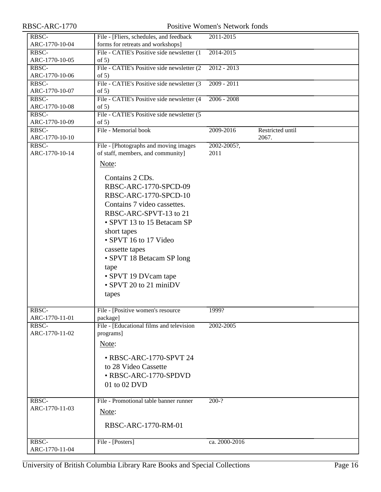| RBSC-                   | File - [Fliers, schedules, and feedback                | 2011-2015     |                  |
|-------------------------|--------------------------------------------------------|---------------|------------------|
| ARC-1770-10-04          | forms for retreats and workshops]                      |               |                  |
| RBSC-<br>ARC-1770-10-05 | File - CATIE's Positive side newsletter (1)<br>of $5)$ | 2014-2015     |                  |
| RBSC-                   | File - CATIE's Positive side newsletter (2)            | $2012 - 2013$ |                  |
| ARC-1770-10-06          | of $5)$                                                |               |                  |
| RBSC-                   | File - CATIE's Positive side newsletter (3)            | $2009 - 2011$ |                  |
| ARC-1770-10-07          | of $5)$                                                |               |                  |
| RBSC-                   | File - CATIE's Positive side newsletter (4             | $2006 - 2008$ |                  |
| ARC-1770-10-08          | of $5)$                                                |               |                  |
| RBSC-<br>ARC-1770-10-09 | File - CATIE's Positive side newsletter (5<br>of $5)$  |               |                  |
| RBSC-                   | File - Memorial book                                   | 2009-2016     | Restricted until |
| ARC-1770-10-10          |                                                        |               | 2067.            |
| RBSC-                   | File - [Photographs and moving images                  | 2002-2005?,   |                  |
| ARC-1770-10-14          | of staff, members, and community]                      | 2011          |                  |
|                         | Note:                                                  |               |                  |
|                         |                                                        |               |                  |
|                         | Contains 2 CDs.                                        |               |                  |
|                         | RBSC-ARC-1770-SPCD-09                                  |               |                  |
|                         | RBSC-ARC-1770-SPCD-10                                  |               |                  |
|                         | Contains 7 video cassettes.                            |               |                  |
|                         | RBSC-ARC-SPVT-13 to 21                                 |               |                  |
|                         | • SPVT 13 to 15 Betacam SP                             |               |                  |
|                         |                                                        |               |                  |
|                         | short tapes                                            |               |                  |
|                         | • SPVT 16 to 17 Video                                  |               |                  |
|                         | cassette tapes                                         |               |                  |
|                         | • SPVT 18 Betacam SP long                              |               |                  |
|                         | tape                                                   |               |                  |
|                         | • SPVT 19 DVcam tape                                   |               |                  |
|                         | • SPVT 20 to 21 miniDV                                 |               |                  |
|                         | tapes                                                  |               |                  |
|                         |                                                        |               |                  |
| RBSC-<br>ARC-1770-11-01 | File - [Positive women's resource<br>package]          | 1999?         |                  |
| RBSC-                   | File - [Educational films and television               | 2002-2005     |                  |
| ARC-1770-11-02          | programs]                                              |               |                  |
|                         |                                                        |               |                  |
|                         | Note:                                                  |               |                  |
|                         | • RBSC-ARC-1770-SPVT 24                                |               |                  |
|                         | to 28 Video Cassette                                   |               |                  |
|                         | • RBSC-ARC-1770-SPDVD                                  |               |                  |
|                         | 01 to 02 DVD                                           |               |                  |
|                         |                                                        |               |                  |
| RBSC-                   | File - Promotional table banner runner                 | $200-?$       |                  |
| ARC-1770-11-03          |                                                        |               |                  |
|                         | Note:                                                  |               |                  |
|                         | RBSC-ARC-1770-RM-01                                    |               |                  |
|                         |                                                        |               |                  |
| RBSC-                   | File - [Posters]                                       | ca. 2000-2016 |                  |
| ARC-1770-11-04          |                                                        |               |                  |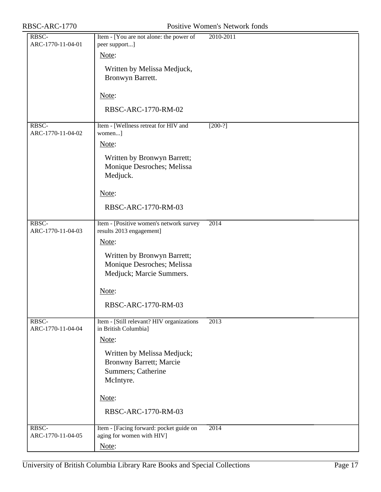| RBSC-<br>ARC-1770-11-04-01 | Item - [You are not alone: the power of<br>peer support]                                         | 2010-2011         |
|----------------------------|--------------------------------------------------------------------------------------------------|-------------------|
|                            | Note:                                                                                            |                   |
|                            | Written by Melissa Medjuck,<br>Bronwyn Barrett.                                                  |                   |
|                            | Note:                                                                                            |                   |
|                            | RBSC-ARC-1770-RM-02                                                                              |                   |
| RBSC-<br>ARC-1770-11-04-02 | Item - [Wellness retreat for HIV and<br>women]                                                   | $[200-?]$         |
|                            | Note:                                                                                            |                   |
|                            | Written by Bronwyn Barrett;<br>Monique Desroches; Melissa<br>Medjuck.                            |                   |
|                            | Note:                                                                                            |                   |
|                            | RBSC-ARC-1770-RM-03                                                                              |                   |
| RBSC-<br>ARC-1770-11-04-03 | Item - [Positive women's network survey<br>results 2013 engagement]                              | 2014              |
|                            | Note:                                                                                            |                   |
|                            | Written by Bronwyn Barrett;<br>Monique Desroches; Melissa<br>Medjuck; Marcie Summers.            |                   |
|                            | Note:                                                                                            |                   |
|                            | RBSC-ARC-1770-RM-03                                                                              |                   |
| RBSC-<br>ARC-1770-11-04-04 | Item - [Still relevant? HIV organizations<br>in British Columbia]<br>Note:                       | $\overline{2013}$ |
|                            | Written by Melissa Medjuck;<br><b>Bronwny Barrett; Marcie</b><br>Summers; Catherine<br>McIntyre. |                   |
|                            | Note:                                                                                            |                   |
|                            | RBSC-ARC-1770-RM-03                                                                              |                   |
| RBSC-<br>ARC-1770-11-04-05 | Item - [Facing forward: pocket guide on<br>aging for women with HIV]                             | 2014              |
|                            | Note:                                                                                            |                   |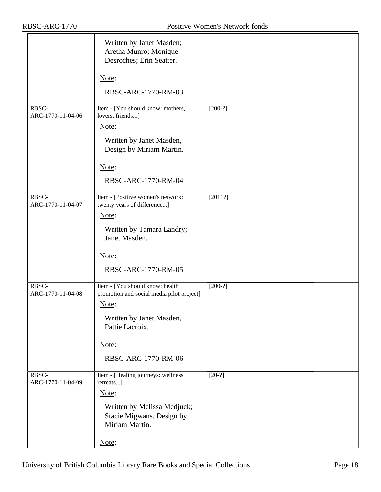|                            | Written by Janet Masden;<br>Aretha Munro; Monique<br>Desroches; Erin Seatter. |           |
|----------------------------|-------------------------------------------------------------------------------|-----------|
|                            | Note:                                                                         |           |
|                            | RBSC-ARC-1770-RM-03                                                           |           |
| RBSC-<br>ARC-1770-11-04-06 | Item - [You should know: mothers,<br>lovers, friends]                         | $[200-?]$ |
|                            | Note:                                                                         |           |
|                            | Written by Janet Masden,<br>Design by Miriam Martin.                          |           |
|                            | Note:                                                                         |           |
|                            | RBSC-ARC-1770-RM-04                                                           |           |
| RBSC-<br>ARC-1770-11-04-07 | Item - [Positive women's network:<br>twenty years of difference]              | [2011?]   |
|                            | Note:                                                                         |           |
|                            | Written by Tamara Landry;<br>Janet Masden.                                    |           |
|                            | Note:                                                                         |           |
|                            | RBSC-ARC-1770-RM-05                                                           |           |
| RBSC-<br>ARC-1770-11-04-08 | Item - [You should know: health<br>promotion and social media pilot project]  | $[200-?]$ |
|                            | Note:                                                                         |           |
|                            | Written by Janet Masden,<br>Pattie Lacroix.                                   |           |
|                            | Note:                                                                         |           |
|                            | RBSC-ARC-1770-RM-06                                                           |           |
| RBSC-<br>ARC-1770-11-04-09 | Item - [Healing journeys: wellness<br>retreats]                               | $[20-?]$  |
|                            | Note:                                                                         |           |
|                            | Written by Melissa Medjuck;<br>Stacie Migwans. Design by<br>Miriam Martin.    |           |
|                            | Note:                                                                         |           |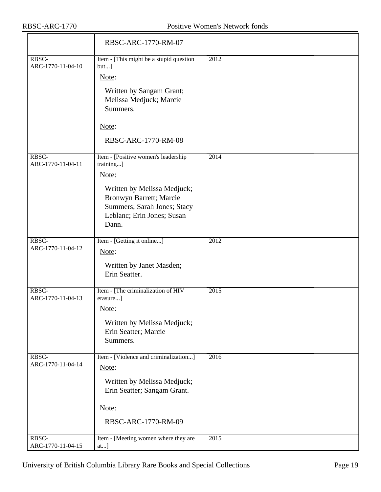|                            | RBSC-ARC-1770-RM-07                                                                                                                                                                       |      |
|----------------------------|-------------------------------------------------------------------------------------------------------------------------------------------------------------------------------------------|------|
| RBSC-<br>ARC-1770-11-04-10 | Item - [This might be a stupid question<br>$but$ ]<br>Note:<br>Written by Sangam Grant;<br>Melissa Medjuck; Marcie<br>Summers.<br>Note:<br>RBSC-ARC-1770-RM-08                            | 2012 |
| RBSC-<br>ARC-1770-11-04-11 | Item - [Positive women's leadership<br>training]<br>Note:<br>Written by Melissa Medjuck;<br>Bronwyn Barrett; Marcie<br>Summers; Sarah Jones; Stacy<br>Leblanc; Erin Jones; Susan<br>Dann. | 2014 |
| RBSC-<br>ARC-1770-11-04-12 | Item - [Getting it online]<br>Note:<br>Written by Janet Masden;<br>Erin Seatter.                                                                                                          | 2012 |
| RBSC-<br>ARC-1770-11-04-13 | Item - [The criminalization of HIV<br>erasure]<br>Note:<br>Written by Melissa Medjuck;<br>Erin Seatter; Marcie<br>Summers.                                                                | 2015 |
| RBSC-<br>ARC-1770-11-04-14 | Item - [Violence and criminalization]<br>Note:<br>Written by Melissa Medjuck;<br>Erin Seatter; Sangam Grant.<br>Note:<br>RBSC-ARC-1770-RM-09                                              | 2016 |
| RBSC-<br>ARC-1770-11-04-15 | Item - [Meeting women where they are<br>at]                                                                                                                                               | 2015 |